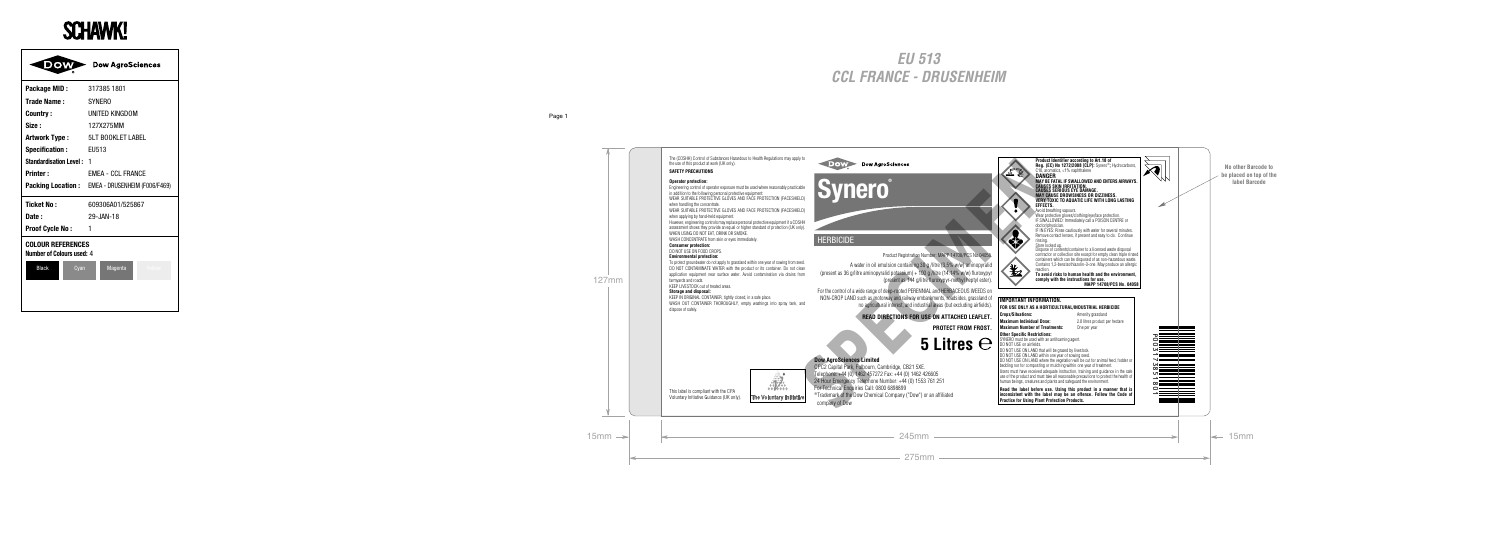The (COSHH) Control of Substances Hazardous to Health Regulations may apply to the use of this product at work (UK only).

#### **SAFETY PRECAUTIONS**

#### **Operator protection:**

Engineering control of operator exposure must be used where reasonably practicable in addition to the following personal protective equipment:

WEAR SUITABLE PROTECTIVE GLOVES AND FACE PROTECTION (FACESHIELD) when handling the concentrate.

WEAR SUITABLE PROTECTIVE GLOVES AND FACE PROTECTION (FACESHIELD) when applying by hand-held equipment.

However, engineering controls may replace personal protective equipment if a COSHH assessment shows they provide an equal or higher standard of protection (UK only). WHEN USING DO NOT FAT, DRINK OR SMOKE

WASH CONCENTRATE from skin or eyes immediately.

#### **Consumer protection:**

DO NOT USE ON FOOD CROPS.

#### **Environmental protection:**

To protect groundwater do not apply to grassland within one year of sowing from seed. DO NOT CONTAMINATE WATER with the product or its container. Do not clean application equipment near surface water. Avoid contamination via drains from farmyards and roads.

KEEP LIVESTOCK out of treated areas.

#### **Storage and disposal:**

KEEP IN ORIGINAL CONTAINER, tightly closed, in a safe place. WASH OUT CONTAINER THOROUGHLY, empty washings into spray tank, and dispose of safely.



## **Synero®**

#### **HERBICIDE**

#### Product Registration Number: MAPP 14708/PCS No.04058.

A water in oil emulsion containing 30 g /litre (3.5% w/w) aminopyralid (present as 36 g/litre aminopyralid potassium) + 100 g /litre (14.14% w/w) fluroxypyr (present as 144 g/litre fluroxypyr-methyl heptyl ester).

For the control of a wide range of deep-rooted PERENNIAL and HERBACEOUS WEEDS on NON-CROP LAND such as motorway and railway embankments, roadsides, grassland of no agricultural interest, and industrial areas (but excluding airfields).

**READ DIRECTIONS FOR USE ON ATTACHED LEAFLET.**

**PROTECT FROM FROST.**

**5 Litres**

#### **Dow AgroSciences Limited**

CPC2 Capital Park, Fulbourn, Cambridge, CB21 5XE. Telephone: +44 (0) 1462 457272 Fax: +44 (0) 1462 426605 24 Hour Emergency Telephone Number: +44 (0) 1553 761 251 For Technical Enquiries Call: 0800 6898899 ®Trademark of the Dow Chemical Company ("Dow") or an affiliated company of Dow Net Control of A wide ring in the picture when the spiral to the spiral to the spiral to the spiral to the spiral to the spiral to the spiral of the spiral of the spiral of the spiral of the spiral of the spiral of the spi

**Product Identifier according to Art.18 of Reg. (EC) No 1272/2008 [CLP]:** Synero®**;** Hydrocarbons, C10, aromatics, <1% naphthalene **DANGER MAY BE FATAL IF SWALLOWED AND ENTERS AIRWAYS. CAUSES SKIN IRRITATION. CAUSES SERIOUS EYE DAMAGE. MAY CAUSE DROWSINESS OR DIZZINESS. VERY TOXIC TO AQUATIC LIFE WITH LONG LASTING EFFECTS.** Avoid breathing vapours.

Wear protective gloves/clothing/eye/face protection. IF SWALLOWED: Immediately call a POISON CENTRE or doctor/physician.

IF IN EYES: Rinse cautiously with water for several minutes. Remove contact lenses, if present and easy to do. Continue rinsing.

Store locked up.

Dispose of contents/container to a licensed waste disposal contractor or collection site except for empty clean triple rinsed containers which can be disposed of as non-hazardous waste. Contains 1,2-benzisothiazolin-3-one. May produce an allergic reaction.

**To avoid risks to human health and the environment, comply with the instructions for use. MAPP 14708/PCS No. 04058**

| IMPORTANT INFORMATION.                                                                                                                                                                                                                                                                                                                                                                                  |                                |  |  |  |
|---------------------------------------------------------------------------------------------------------------------------------------------------------------------------------------------------------------------------------------------------------------------------------------------------------------------------------------------------------------------------------------------------------|--------------------------------|--|--|--|
| FOR USE ONLY AS A HORTICULTURAL/INDUSTRIAL HERBICIDE                                                                                                                                                                                                                                                                                                                                                    |                                |  |  |  |
| <b>Crops/Situations:</b>                                                                                                                                                                                                                                                                                                                                                                                | Amenity grassland              |  |  |  |
| <b>Maximum Individual Dose:</b>                                                                                                                                                                                                                                                                                                                                                                         | 2.0 litres product per hectare |  |  |  |
| <b>Maximum Number of Treatments:</b>                                                                                                                                                                                                                                                                                                                                                                    | One per year                   |  |  |  |
| <b>Other Specific Restrictions:</b><br>SYNERO must be used with an antifoaming agent.<br>DO NOT USE on airfields.<br>DO NOT USE ON LAND that will be grazed by livestock.<br>DO NOT USE ON LAND within one year of sowing seed.                                                                                                                                                                         |                                |  |  |  |
| DO NOT USE ON LAND where the vegetation will be cut for animal feed, fodder or<br>bedding nor for composting or mulching within one year of treatment.<br>Users must have received adequate instruction, training and quidance in the safe<br>use of the product and must take all reasonable precautions to protect the health of<br>human beings, creatures and plants and safeguard the environment. |                                |  |  |  |

**Read the label before use. Using this product in a manner that is inconsistent with the label may be an offence. Follow the Code of Practice for Using Plant Protection Products.**





This label is compliant with the CPA Voluntary Initiative Guidance (UK only).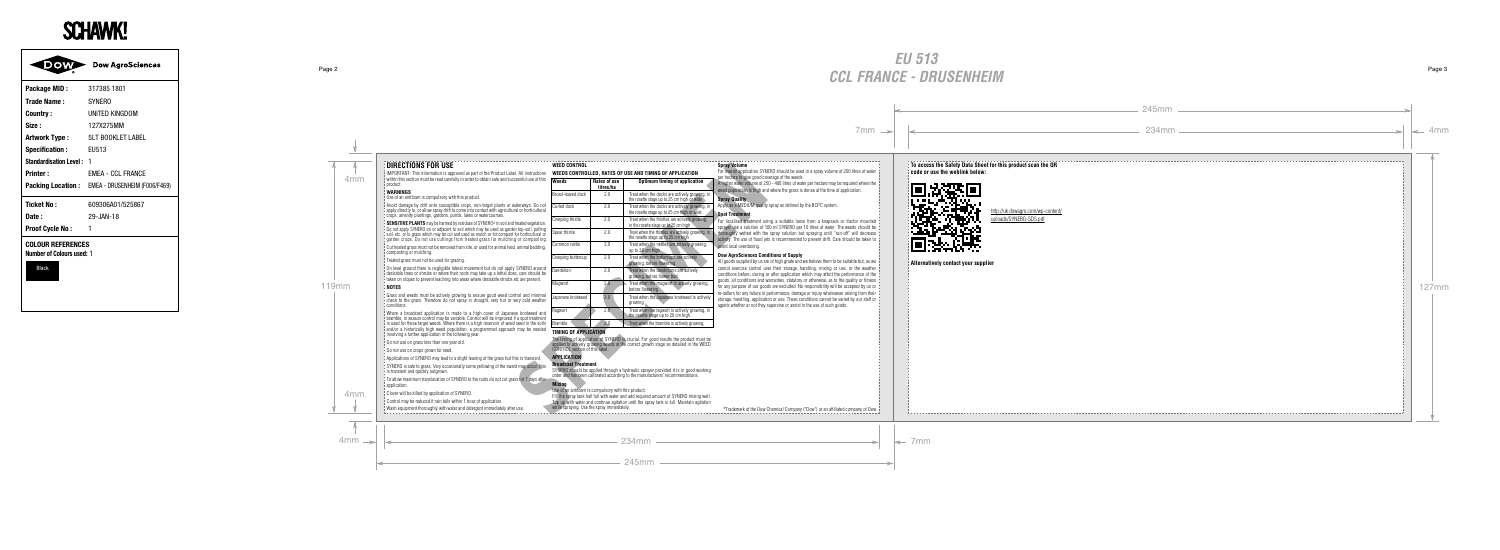#### **DIRECTIONS FOR USE**

IMPORTANT: This information is approved as part of the Product Label. All instructions within this section must be read carefully in order to obtain safe and successful use of this product.

#### **WARNINGS**

Use of an antifoam is compulsory with this product.

Avoid damage by drift onto susceptible crops, non-target plants or waterways. Do not apply directly to, or allow spray drift to come into contact with agricultural or horticultural crops, amenity plantings, gardens, ponds, lakes or watercourses.

**SENSITIVE PLANTS** may be harmed by residues of SYNERO<sup>®</sup> in soil and treated vegetation. Do not apply SYNERO on or adjacent to soil which may be used as garden top-soil, potting soil, etc. or to grass which may be cut and used as mulch or for compost for horticultural or garden crops. Do not use cuttings from treated grass for mulching or composting.

Cut treated grass must not be removed from site, or used for animal feed, animal bedding, composting or mulching.

Treated grass must not be used for grazing.

On level ground there is negligible lateral movement but do not apply SYNERO around desirable trees or shrubs or where their roots may take up a lethal dose, care should be taken on slopes to prevent leaching into areas where desirable shrubs etc are present.

#### **NOTES**

Grass and weeds must be actively growing to ensure good weed control and minimal check to the grass. Therefore do not spray in drought, very hot or very cold weather conditions.

Where a broadcast application is made to a high cover of Japanese knotweed and bramble, in season control may be variable. Control will be improved if a spot treatment is used for these target weeds. Where there is a high reservoir of weed seed in the soils and/or a historically high weed population, a programmed approach may be needed involving a further application in the following year.

Do not use on grass less than one year old.

Do not use on crops grown for seed.

Applications of SYNERO may lead to a slight leaning of the grass but this is transient.

SYNERO is safe to grass. Very occasionally some vellowing of the sward may occur; this is transient and quickly outgrown.

To allow maximum translocation of SYNERO to the roots do not cut grass for 7 days after application

Clover will be killed by application of SYNERO.

Control may be reduced if rain falls within 1 hour of application.

Wash equipment thoroughly with water and detergent immediately after use.

#### **WEED CONTROL**

#### **WEEDS CONTROLLED, RATES OF USE AND TIMING OF APPLICATION**

| I. All instructions                                                                                         | WEEDS CONTROLLED. RATES OF USE AND TIMING OF APPLICATION                                                                                                                                            |                           |                                                                                                                                                                               | For overall application SY<br>per hectare to give good o                                                                                        |
|-------------------------------------------------------------------------------------------------------------|-----------------------------------------------------------------------------------------------------------------------------------------------------------------------------------------------------|---------------------------|-------------------------------------------------------------------------------------------------------------------------------------------------------------------------------|-------------------------------------------------------------------------------------------------------------------------------------------------|
| cessful use of this                                                                                         | Weeds                                                                                                                                                                                               | Rates of use<br>litres/ha | Optimum timing of application                                                                                                                                                 | A higher water volume of<br>weed population is high a                                                                                           |
|                                                                                                             | Broad-leaved dock                                                                                                                                                                                   | 2.0                       | Treat when the docks are actively growing, in<br>the rosette stage up to 25 cm high or wide                                                                                   | <b>Spray Quality</b>                                                                                                                            |
| aterwavs. Do not<br>al or horticultural                                                                     | Curled dock                                                                                                                                                                                         | 2.0                       | Treat when the docks are actively growing, in<br>the rosette stage up to 25 cm high or wide                                                                                   | Apply as a MEDIUM qual<br><b>Spot Treatment</b>                                                                                                 |
| treated vegetation.<br>n top-soil, potting<br>for horticultural or<br>a or composting.<br>, animal bedding, | Creeping thistle                                                                                                                                                                                    | 2.0                       | Treat when the thistles are actively growing.<br>in the rosette stage up to 25 cm high                                                                                        | For localised treatment<br>sprayer use a solution of<br>thoroughly wetted with t<br>activity. The use of flood<br>avoid local overdosing.       |
|                                                                                                             | Spear thistle                                                                                                                                                                                       | 2.0                       | Treat when the thistles are actively growing, in<br>the rosette stage up to 25 cm high                                                                                        |                                                                                                                                                 |
|                                                                                                             | Common nettle                                                                                                                                                                                       | 2.0                       | Treat when the nettles are actively growing.<br>up to 30 cm high                                                                                                              |                                                                                                                                                 |
|                                                                                                             | Creeping buttercup                                                                                                                                                                                  | 2.0                       | Treat when the buttercups are actively<br>growing, before flowering                                                                                                           | <b>Dow AgroSciences Co</b><br>All goods supplied by us                                                                                          |
| SYNERO around<br>e, care should be<br>etc are present.                                                      | Dandelion                                                                                                                                                                                           | 2.0                       | Treat when the dandelions are actively<br>growing, before flower bud                                                                                                          | cannot exercise control<br>conditions before, during<br>goods, all conditions and<br>for any purpose of our go<br>re-sellers for any failure in |
|                                                                                                             | Mugwort                                                                                                                                                                                             | 2.0 <sub>1</sub>          | Treat when the mugwort is actively growing,<br>before flowering                                                                                                               |                                                                                                                                                 |
| trol and minimal<br>ery cold weather                                                                        | Japanese knotweed                                                                                                                                                                                   | 2.0                       | Treat when the Japanese knotweed is actively<br>growing                                                                                                                       | storage, handling, applica<br>agents whether or not the                                                                                         |
| se knotweed and                                                                                             | Ragwort                                                                                                                                                                                             | 2.0                       | Treat when the ragwort is actively growing, in<br>the rosette stage up to 20 cm high                                                                                          |                                                                                                                                                 |
| f a spot treatment<br>seed in the soils                                                                     | Bramble                                                                                                                                                                                             | 2.0                       | Treat when the bramble is actively growing,                                                                                                                                   |                                                                                                                                                 |
| n mav be needed                                                                                             | <b>TIMING OF APPLICATION</b>                                                                                                                                                                        |                           |                                                                                                                                                                               |                                                                                                                                                 |
|                                                                                                             | CONTROL section of this label.                                                                                                                                                                      |                           | The timing of application of SYNERO is crucial. For good results the product must be<br>applied to actively growing weeds at the correct growth stage as detailed in the WEED |                                                                                                                                                 |
| is is transient.                                                                                            | <b>APPLICATION</b>                                                                                                                                                                                  |                           |                                                                                                                                                                               |                                                                                                                                                 |
| d may occur; this                                                                                           | <b>Broadcast Treatment</b><br>SYNERO should be applied through a hydraulic sprayer provided it is in good working<br>order and has been calibrated according to the manufacturers' recommendations. |                           |                                                                                                                                                                               |                                                                                                                                                 |
| ss for 7 days after.                                                                                        | <b>Mixina</b><br>Use of an antifoam is compulsory with this product.                                                                                                                                |                           |                                                                                                                                                                               |                                                                                                                                                 |
|                                                                                                             |                                                                                                                                                                                                     |                           | Fill the spray tank half full with water and add required amount of SYNERO mixing well.                                                                                       |                                                                                                                                                 |
| use.                                                                                                        | while spraying. Use the spray immediately.                                                                                                                                                          |                           | Top up with water and continue agitation until the spray tank is full. Maintain agitation                                                                                     | ®Trademark of the Dov                                                                                                                           |
|                                                                                                             |                                                                                                                                                                                                     |                           |                                                                                                                                                                               |                                                                                                                                                 |

#### **TIMING OF APPLICATION**

#### **APPLICATION**

#### **Broadcast Treatment**

#### **Spray Volume**

For overall application SYNERO should be used in a spray volume of 200 litres of water per hectare to give good coverage of the weeds.

A higher water volume of 250 - 400 litres of water per hectare may be required where the weed population is high and where the grass is dense at the time of application.

#### **Spray Quality**

Apply as a MEDIUM quality spray as defined by the BCPC system.

#### **Spot Treatment**

For localised treatment using a suitable lance from a knapsack or tractor mounted sprayer use a solution of 100 ml SYNERO per 10 litres of water. The weeds should be thoroughly wetted with the spray solution but spraying until "run-off" will decrease activity. The use of flood jets is recommended to prevent drift. Care should be taken to avoid local overdosing.

#### **Dow AgroSciences Conditions of Supply**

All goods supplied by us are of high grade and we believe them to be suitable but, as we cannot exercise control over their storage, handling, mixing or use, or the weather conditions before, during or after application which may affect the performance of the goods, all conditions and warranties, statutory or otherwise, as to the quality or fitness for any purpose of our goods are excluded. No responsibility will be accepted by us or re-sellers for any failure in performance, damage or injury whatsoever arising from their storage, handling, application or use. These conditions cannot be varied by our staff or agents whether or not they supervise or assist in the use of such goods.

®Trademark of the Dow Chemical Company ("Dow") or an affiliated company of Dow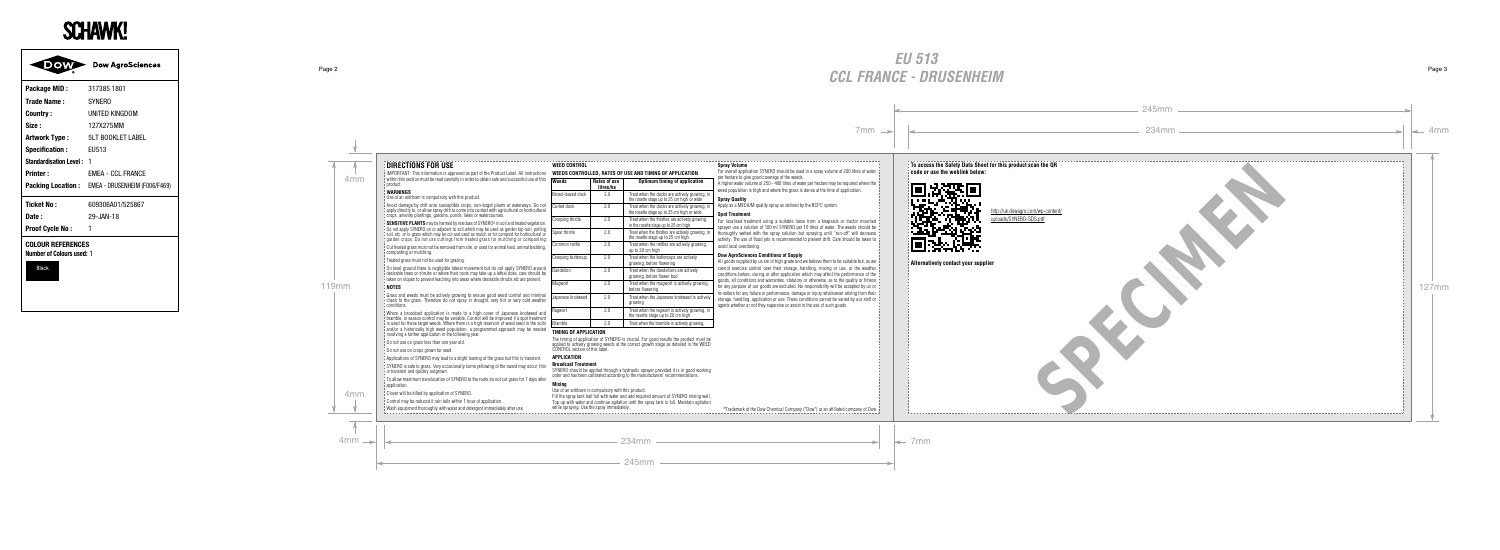**To access the Safety Data Sheet for this product scan the QR code or use the weblink below:**



 http://uk.dowagro.com/wp-content/ uploads/SYNERO-SDS.pdf SPECIAL SPECIES

**Alternatively contact your supplier**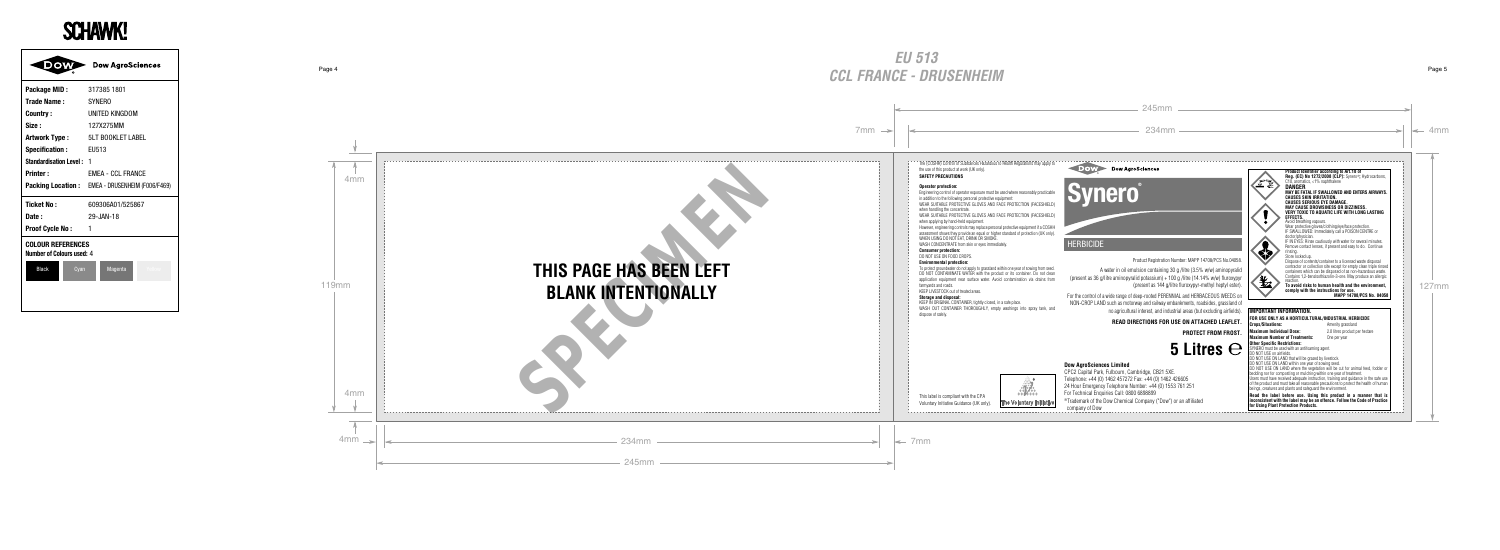# **THIS PAGE HAS BEEN LEFT BLANK INTENTIONALLY** THIS PAGE HAS BEEN LEFT<br>BLANK INTENTIONALLY